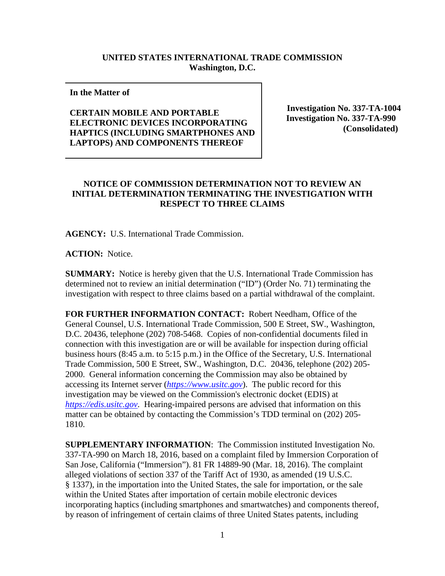## **UNITED STATES INTERNATIONAL TRADE COMMISSION Washington, D.C.**

## **In the Matter of**

## **CERTAIN MOBILE AND PORTABLE ELECTRONIC DEVICES INCORPORATING HAPTICS (INCLUDING SMARTPHONES AND LAPTOPS) AND COMPONENTS THEREOF**

**Investigation No. 337-TA-1004 Investigation No. 337-TA-990 (Consolidated)**

## **NOTICE OF COMMISSION DETERMINATION NOT TO REVIEW AN INITIAL DETERMINATION TERMINATING THE INVESTIGATION WITH RESPECT TO THREE CLAIMS**

**AGENCY:** U.S. International Trade Commission.

**ACTION:** Notice.

**SUMMARY:** Notice is hereby given that the U.S. International Trade Commission has determined not to review an initial determination ("ID") (Order No. 71) terminating the investigation with respect to three claims based on a partial withdrawal of the complaint.

**FOR FURTHER INFORMATION CONTACT:** Robert Needham, Office of the General Counsel, U.S. International Trade Commission, 500 E Street, SW., Washington, D.C. 20436, telephone (202) 708-5468. Copies of non-confidential documents filed in connection with this investigation are or will be available for inspection during official business hours (8:45 a.m. to 5:15 p.m.) in the Office of the Secretary, U.S. International Trade Commission, 500 E Street, SW., Washington, D.C. 20436, telephone (202) 205- 2000. General information concerning the Commission may also be obtained by accessing its Internet server (*[https://www.usitc.gov](https://www.usitc.gov/)*). The public record for this investigation may be viewed on the Commission's electronic docket (EDIS) at *[https://edis.usitc.gov](https://edis.usitc.gov/)*. Hearing-impaired persons are advised that information on this matter can be obtained by contacting the Commission's TDD terminal on (202) 205- 1810.

**SUPPLEMENTARY INFORMATION**: The Commission instituted Investigation No. 337-TA-990 on March 18, 2016, based on a complaint filed by Immersion Corporation of San Jose, California ("Immersion"). 81 FR 14889-90 (Mar. 18, 2016). The complaint alleged violations of section 337 of the Tariff Act of 1930, as amended (19 U.S.C. § 1337), in the importation into the United States, the sale for importation, or the sale within the United States after importation of certain mobile electronic devices incorporating haptics (including smartphones and smartwatches) and components thereof, by reason of infringement of certain claims of three United States patents, including